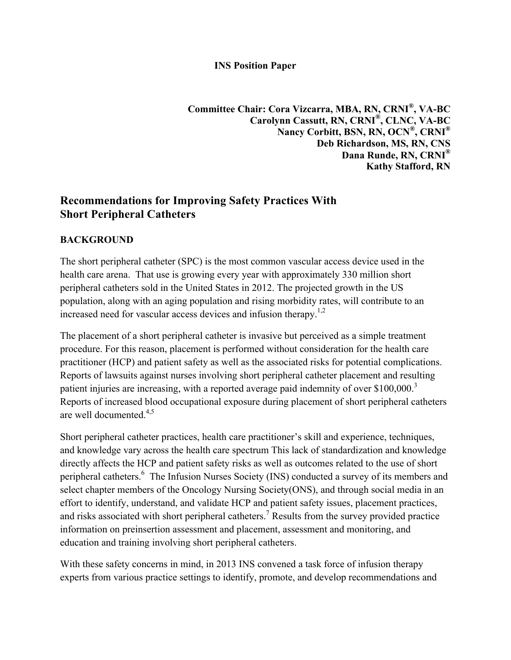#### **INS Position Paper**

**Committee Chair: Cora Vizcarra, MBA, RN, CRNI®, VA-BC Carolynn Cassutt, RN, CRNI®, CLNC, VA-BC Nancy Corbitt, BSN, RN, OCN®, CRNI® Deb Richardson, MS, RN, CNS Dana Runde, RN, CRNI® Kathy Stafford, RN**

# **Recommendations for Improving Safety Practices With Short Peripheral Catheters**

#### **BACKGROUND**

The short peripheral catheter (SPC) is the most common vascular access device used in the health care arena. That use is growing every year with approximately 330 million short peripheral catheters sold in the United States in 2012. The projected growth in the US population, along with an aging population and rising morbidity rates, will contribute to an increased need for vascular access devices and infusion therapy.<sup>1,2</sup>

The placement of a short peripheral catheter is invasive but perceived as a simple treatment procedure. For this reason, placement is performed without consideration for the health care practitioner (HCP) and patient safety as well as the associated risks for potential complications. Reports of lawsuits against nurses involving short peripheral catheter placement and resulting patient injuries are increasing, with a reported average paid indemnity of over \$100,000.<sup>3</sup> Reports of increased blood occupational exposure during placement of short peripheral catheters are well documented. 4,5

Short peripheral catheter practices, health care practitioner's skill and experience, techniques, and knowledge vary across the health care spectrum This lack of standardization and knowledge directly affects the HCP and patient safety risks as well as outcomes related to the use of short peripheral catheters.<sup>6</sup> The Infusion Nurses Society (INS) conducted a survey of its members and select chapter members of the Oncology Nursing Society(ONS), and through social media in an effort to identify, understand, and validate HCP and patient safety issues, placement practices, and risks associated with short peripheral catheters.<sup>7</sup> Results from the survey provided practice information on preinsertion assessment and placement, assessment and monitoring, and education and training involving short peripheral catheters.

With these safety concerns in mind, in 2013 INS convened a task force of infusion therapy experts from various practice settings to identify, promote, and develop recommendations and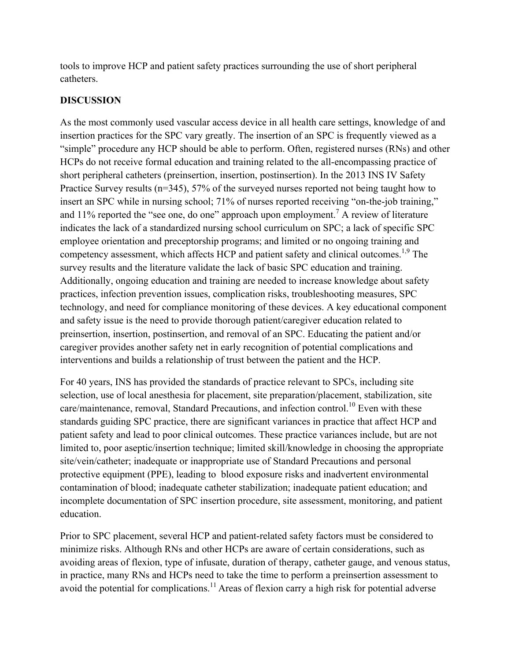tools to improve HCP and patient safety practices surrounding the use of short peripheral catheters.

### **DISCUSSION**

As the most commonly used vascular access device in all health care settings, knowledge of and insertion practices for the SPC vary greatly. The insertion of an SPC is frequently viewed as a "simple" procedure any HCP should be able to perform. Often, registered nurses (RNs) and other HCPs do not receive formal education and training related to the all-encompassing practice of short peripheral catheters (preinsertion, insertion, postinsertion). In the 2013 INS IV Safety Practice Survey results (n=345), 57% of the surveyed nurses reported not being taught how to insert an SPC while in nursing school; 71% of nurses reported receiving "on-the-job training," and 11% reported the "see one, do one" approach upon employment.<sup>7</sup> A review of literature indicates the lack of a standardized nursing school curriculum on SPC; a lack of specific SPC employee orientation and preceptorship programs; and limited or no ongoing training and competency assessment, which affects HCP and patient safety and clinical outcomes.<sup>1,9</sup> The survey results and the literature validate the lack of basic SPC education and training. Additionally, ongoing education and training are needed to increase knowledge about safety practices, infection prevention issues, complication risks, troubleshooting measures, SPC technology, and need for compliance monitoring of these devices. A key educational component and safety issue is the need to provide thorough patient/caregiver education related to preinsertion, insertion, postinsertion, and removal of an SPC. Educating the patient and/or caregiver provides another safety net in early recognition of potential complications and interventions and builds a relationship of trust between the patient and the HCP.

For 40 years, INS has provided the standards of practice relevant to SPCs, including site selection, use of local anesthesia for placement, site preparation/placement, stabilization, site care/maintenance, removal, Standard Precautions, and infection control.<sup>10</sup> Even with these standards guiding SPC practice, there are significant variances in practice that affect HCP and patient safety and lead to poor clinical outcomes. These practice variances include, but are not limited to, poor aseptic/insertion technique; limited skill/knowledge in choosing the appropriate site/vein/catheter; inadequate or inappropriate use of Standard Precautions and personal protective equipment (PPE), leading to blood exposure risks and inadvertent environmental contamination of blood; inadequate catheter stabilization; inadequate patient education; and incomplete documentation of SPC insertion procedure, site assessment, monitoring, and patient education.

Prior to SPC placement, several HCP and patient-related safety factors must be considered to minimize risks. Although RNs and other HCPs are aware of certain considerations, such as avoiding areas of flexion, type of infusate, duration of therapy, catheter gauge, and venous status, in practice, many RNs and HCPs need to take the time to perform a preinsertion assessment to avoid the potential for complications.<sup>11</sup> Areas of flexion carry a high risk for potential adverse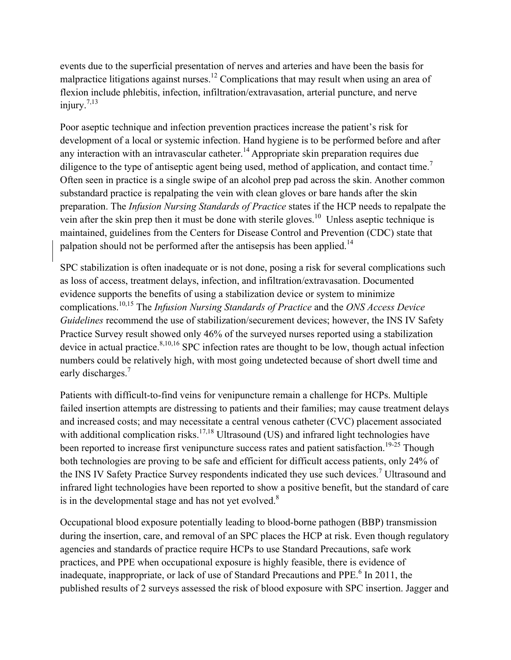events due to the superficial presentation of nerves and arteries and have been the basis for malpractice litigations against nurses.<sup>12</sup> Complications that may result when using an area of flexion include phlebitis, infection, infiltration/extravasation, arterial puncture, and nerve injury. $7,13$ 

Poor aseptic technique and infection prevention practices increase the patient's risk for development of a local or systemic infection. Hand hygiene is to be performed before and after any interaction with an intravascular catheter.<sup>14</sup> Appropriate skin preparation requires due diligence to the type of antiseptic agent being used, method of application, and contact time.<sup>7</sup> Often seen in practice is a single swipe of an alcohol prep pad across the skin. Another common substandard practice is repalpating the vein with clean gloves or bare hands after the skin preparation. The *Infusion Nursing Standards of Practice* states if the HCP needs to repalpate the vein after the skin prep then it must be done with sterile gloves.<sup>10</sup> Unless aseptic technique is maintained, guidelines from the Centers for Disease Control and Prevention (CDC) state that palpation should not be performed after the antisepsis has been applied.<sup>14</sup>

SPC stabilization is often inadequate or is not done, posing a risk for several complications such as loss of access, treatment delays, infection, and infiltration/extravasation. Documented evidence supports the benefits of using a stabilization device or system to minimize complications.10,15 The *Infusion Nursing Standards of Practice* and the *ONS Access Device Guidelines* recommend the use of stabilization/securement devices; however, the INS IV Safety Practice Survey result showed only 46% of the surveyed nurses reported using a stabilization device in actual practice.<sup>8,10,16</sup> SPC infection rates are thought to be low, though actual infection numbers could be relatively high, with most going undetected because of short dwell time and early discharges.<sup>7</sup>

Patients with difficult-to-find veins for venipuncture remain a challenge for HCPs. Multiple failed insertion attempts are distressing to patients and their families; may cause treatment delays and increased costs; and may necessitate a central venous catheter (CVC) placement associated with additional complication risks.<sup>17,18</sup> Ultrasound (US) and infrared light technologies have been reported to increase first venipuncture success rates and patient satisfaction.<sup>19-25</sup> Though both technologies are proving to be safe and efficient for difficult access patients, only 24% of the INS IV Safety Practice Survey respondents indicated they use such devices.<sup>7</sup> Ultrasound and infrared light technologies have been reported to show a positive benefit, but the standard of care is in the developmental stage and has not yet evolved.<sup>8</sup>

Occupational blood exposure potentially leading to blood-borne pathogen (BBP) transmission during the insertion, care, and removal of an SPC places the HCP at risk. Even though regulatory agencies and standards of practice require HCPs to use Standard Precautions, safe work practices, and PPE when occupational exposure is highly feasible, there is evidence of inadequate, inappropriate, or lack of use of Standard Precautions and PPE.<sup>6</sup> In 2011, the published results of 2 surveys assessed the risk of blood exposure with SPC insertion. Jagger and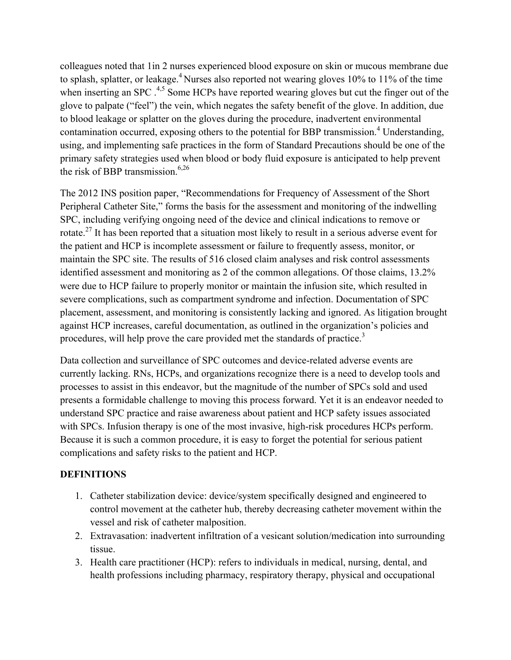colleagues noted that 1in 2 nurses experienced blood exposure on skin or mucous membrane due to splash, splatter, or leakage.<sup>4</sup> Nurses also reported not wearing gloves  $10\%$  to  $11\%$  of the time when inserting an SPC  $^{4,5}$  Some HCPs have reported wearing gloves but cut the finger out of the glove to palpate ("feel") the vein, which negates the safety benefit of the glove. In addition, due to blood leakage or splatter on the gloves during the procedure, inadvertent environmental contamination occurred, exposing others to the potential for BBP transmission.<sup>4</sup> Understanding, using, and implementing safe practices in the form of Standard Precautions should be one of the primary safety strategies used when blood or body fluid exposure is anticipated to help prevent the risk of BBP transmission. $6,26$ 

The 2012 INS position paper, "Recommendations for Frequency of Assessment of the Short Peripheral Catheter Site," forms the basis for the assessment and monitoring of the indwelling SPC, including verifying ongoing need of the device and clinical indications to remove or rotate.<sup>27</sup> It has been reported that a situation most likely to result in a serious adverse event for the patient and HCP is incomplete assessment or failure to frequently assess, monitor, or maintain the SPC site. The results of 516 closed claim analyses and risk control assessments identified assessment and monitoring as 2 of the common allegations. Of those claims, 13.2% were due to HCP failure to properly monitor or maintain the infusion site, which resulted in severe complications, such as compartment syndrome and infection. Documentation of SPC placement, assessment, and monitoring is consistently lacking and ignored. As litigation brought against HCP increases, careful documentation, as outlined in the organization's policies and procedures, will help prove the care provided met the standards of practice.<sup>3</sup>

Data collection and surveillance of SPC outcomes and device-related adverse events are currently lacking. RNs, HCPs, and organizations recognize there is a need to develop tools and processes to assist in this endeavor, but the magnitude of the number of SPCs sold and used presents a formidable challenge to moving this process forward. Yet it is an endeavor needed to understand SPC practice and raise awareness about patient and HCP safety issues associated with SPCs. Infusion therapy is one of the most invasive, high-risk procedures HCPs perform. Because it is such a common procedure, it is easy to forget the potential for serious patient complications and safety risks to the patient and HCP.

### **DEFINITIONS**

- 1. Catheter stabilization device: device/system specifically designed and engineered to control movement at the catheter hub, thereby decreasing catheter movement within the vessel and risk of catheter malposition.
- 2. Extravasation: inadvertent infiltration of a vesicant solution/medication into surrounding tissue.
- 3. Health care practitioner (HCP): refers to individuals in medical, nursing, dental, and health professions including pharmacy, respiratory therapy, physical and occupational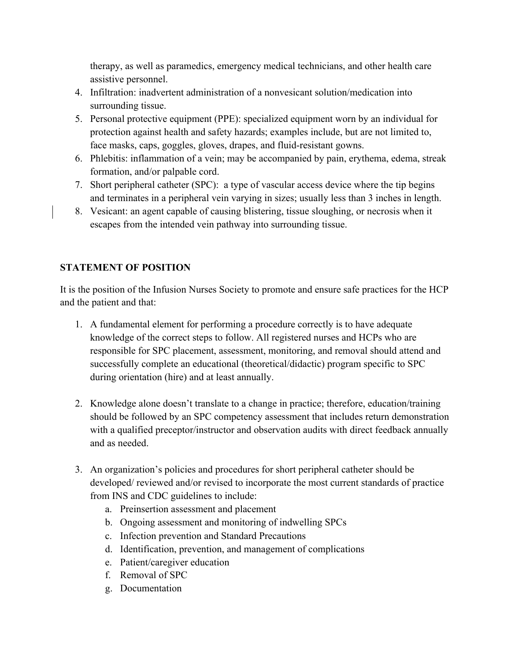therapy, as well as paramedics, emergency medical technicians, and other health care assistive personnel.

- 4. Infiltration: inadvertent administration of a nonvesicant solution/medication into surrounding tissue.
- 5. Personal protective equipment (PPE): specialized equipment worn by an individual for protection against health and safety hazards; examples include, but are not limited to, face masks, caps, goggles, gloves, drapes, and fluid-resistant gowns.
- 6. Phlebitis: inflammation of a vein; may be accompanied by pain, erythema, edema, streak formation, and/or palpable cord.
- 7. Short peripheral catheter (SPC): a type of vascular access device where the tip begins and terminates in a peripheral vein varying in sizes; usually less than 3 inches in length.
- 8. Vesicant: an agent capable of causing blistering, tissue sloughing, or necrosis when it escapes from the intended vein pathway into surrounding tissue.

# **STATEMENT OF POSITION**

It is the position of the Infusion Nurses Society to promote and ensure safe practices for the HCP and the patient and that:

- 1. A fundamental element for performing a procedure correctly is to have adequate knowledge of the correct steps to follow. All registered nurses and HCPs who are responsible for SPC placement, assessment, monitoring, and removal should attend and successfully complete an educational (theoretical/didactic) program specific to SPC during orientation (hire) and at least annually.
- 2. Knowledge alone doesn't translate to a change in practice; therefore, education/training should be followed by an SPC competency assessment that includes return demonstration with a qualified preceptor/instructor and observation audits with direct feedback annually and as needed.
- 3. An organization's policies and procedures for short peripheral catheter should be developed/ reviewed and/or revised to incorporate the most current standards of practice from INS and CDC guidelines to include:
	- a. Preinsertion assessment and placement
	- b. Ongoing assessment and monitoring of indwelling SPCs
	- c. Infection prevention and Standard Precautions
	- d. Identification, prevention, and management of complications
	- e. Patient/caregiver education
	- f. Removal of SPC
	- g. Documentation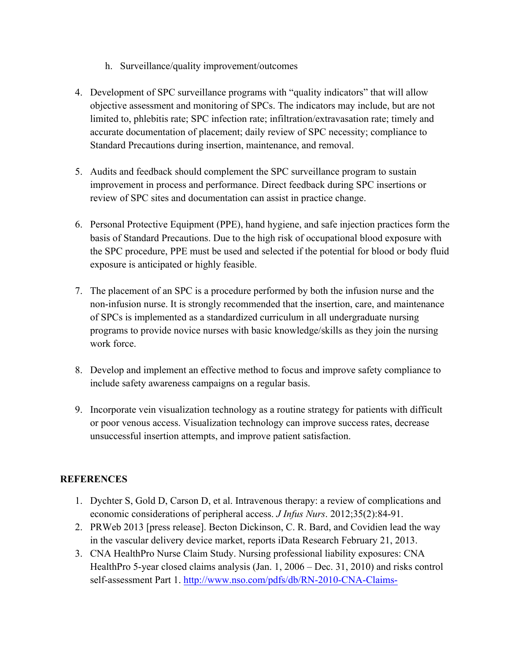- h. Surveillance/quality improvement/outcomes
- 4. Development of SPC surveillance programs with "quality indicators" that will allow objective assessment and monitoring of SPCs. The indicators may include, but are not limited to, phlebitis rate; SPC infection rate; infiltration/extravasation rate; timely and accurate documentation of placement; daily review of SPC necessity; compliance to Standard Precautions during insertion, maintenance, and removal.
- 5. Audits and feedback should complement the SPC surveillance program to sustain improvement in process and performance. Direct feedback during SPC insertions or review of SPC sites and documentation can assist in practice change.
- 6. Personal Protective Equipment (PPE), hand hygiene, and safe injection practices form the basis of Standard Precautions. Due to the high risk of occupational blood exposure with the SPC procedure, PPE must be used and selected if the potential for blood or body fluid exposure is anticipated or highly feasible.
- 7. The placement of an SPC is a procedure performed by both the infusion nurse and the non-infusion nurse. It is strongly recommended that the insertion, care, and maintenance of SPCs is implemented as a standardized curriculum in all undergraduate nursing programs to provide novice nurses with basic knowledge/skills as they join the nursing work force.
- 8. Develop and implement an effective method to focus and improve safety compliance to include safety awareness campaigns on a regular basis.
- 9. Incorporate vein visualization technology as a routine strategy for patients with difficult or poor venous access. Visualization technology can improve success rates, decrease unsuccessful insertion attempts, and improve patient satisfaction.

# **REFERENCES**

- 1. Dychter S, Gold D, Carson D, et al. Intravenous therapy: a review of complications and economic considerations of peripheral access. *J Infus Nurs*. 2012;35(2):84-91.
- 2. PRWeb 2013 [press release]. Becton Dickinson, C. R. Bard, and Covidien lead the way in the vascular delivery device market, reports iData Research February 21, 2013.
- 3. CNA HealthPro Nurse Claim Study. Nursing professional liability exposures: CNA HealthPro 5-year closed claims analysis (Jan. 1, 2006 – Dec. 31, 2010) and risks control self-assessment Part 1. http://www.nso.com/pdfs/db/RN-2010-CNA-Claims-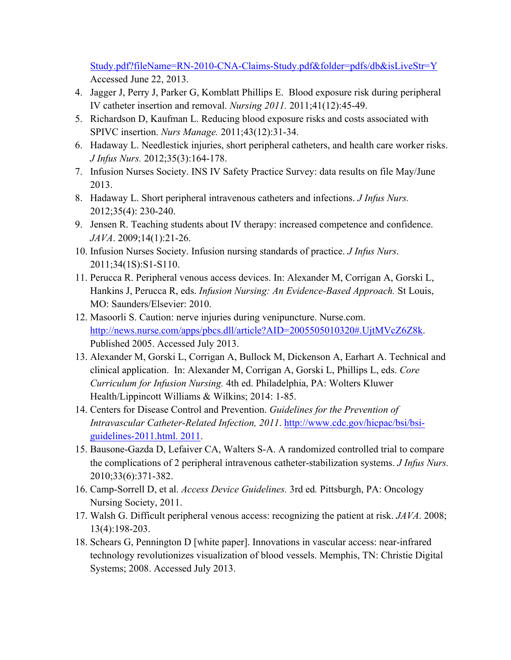Study.pdf?fileName=RN-2010-CNA-Claims-Study.pdf&folder=pdfs/db&isLiveStr=Y Accessed June 22, 2013.

- 4. Jagger J, Perry J, Parker G, Komblatt Phillips E. Blood exposure risk during peripheral IV catheter insertion and removal. *Nursing 2011.* 2011;41(12):45-49.
- 5. Richardson D, Kaufman L. Reducing blood exposure risks and costs associated with SPIVC insertion. *Nurs Manage.* 2011;43(12):31-34.
- 6. Hadaway L. Needlestick injuries, short peripheral catheters, and health care worker risks. *J Infus Nurs.* 2012;35(3):164-178.
- 7. Infusion Nurses Society. INS IV Safety Practice Survey: data results on file May/June 2013.
- 8. Hadaway L. Short peripheral intravenous catheters and infections. *J Infus Nurs.*  2012;35(4): 230-240.
- 9. Jensen R. Teaching students about IV therapy: increased competence and confidence. *JAVA*. 2009;14(1):21-26.
- 10. Infusion Nurses Society. Infusion nursing standards of practice. *J Infus Nurs*. 2011;34(1S):S1-S110.
- 11. Perucca R. Peripheral venous access devices. In: Alexander M, Corrigan A, Gorski L, Hankins J, Perucca R, eds. *Infusion Nursing: An Evidence-Based Approach.* St Louis, MO: Saunders/Elsevier: 2010.
- 12. Masoorli S. Caution: nerve injuries during venipuncture. Nurse.com. http://news.nurse.com/apps/pbcs.dll/article?AID=2005505010320#.UjtMVcZ6Z8k. Published 2005. Accessed July 2013.
- 13. Alexander M, Gorski L, Corrigan A, Bullock M, Dickenson A, Earhart A. Technical and clinical application. In: Alexander M, Corrigan A, Gorski L, Phillips L, eds. *Core Curriculum for Infusion Nursing.* 4th ed. Philadelphia, PA: Wolters Kluwer Health/Lippincott Williams & Wilkins; 2014: 1-85.
- 14. Centers for Disease Control and Prevention. *Guidelines for the Prevention of Intravascular Catheter-Related Infection, 2011*. http://www.cdc.gov/hicpac/bsi/bsiguidelines-2011.html. 2011.
- 15. Bausone-Gazda D, Lefaiver CA, Walters S-A. A randomized controlled trial to compare the complications of 2 peripheral intravenous catheter-stabilization systems. *J Infus Nurs.* 2010;33(6):371-382.
- 16. Camp-Sorrell D, et al. *Access Device Guidelines.* 3rd ed*.* Pittsburgh, PA: Oncology Nursing Society, 2011.
- 17. Walsh G. Difficult peripheral venous access: recognizing the patient at risk. *JAVA*. 2008; 13(4):198-203.
- 18. Schears G, Pennington D [white paper]. Innovations in vascular access: near-infrared technology revolutionizes visualization of blood vessels. Memphis, TN: Christie Digital Systems; 2008. Accessed July 2013.